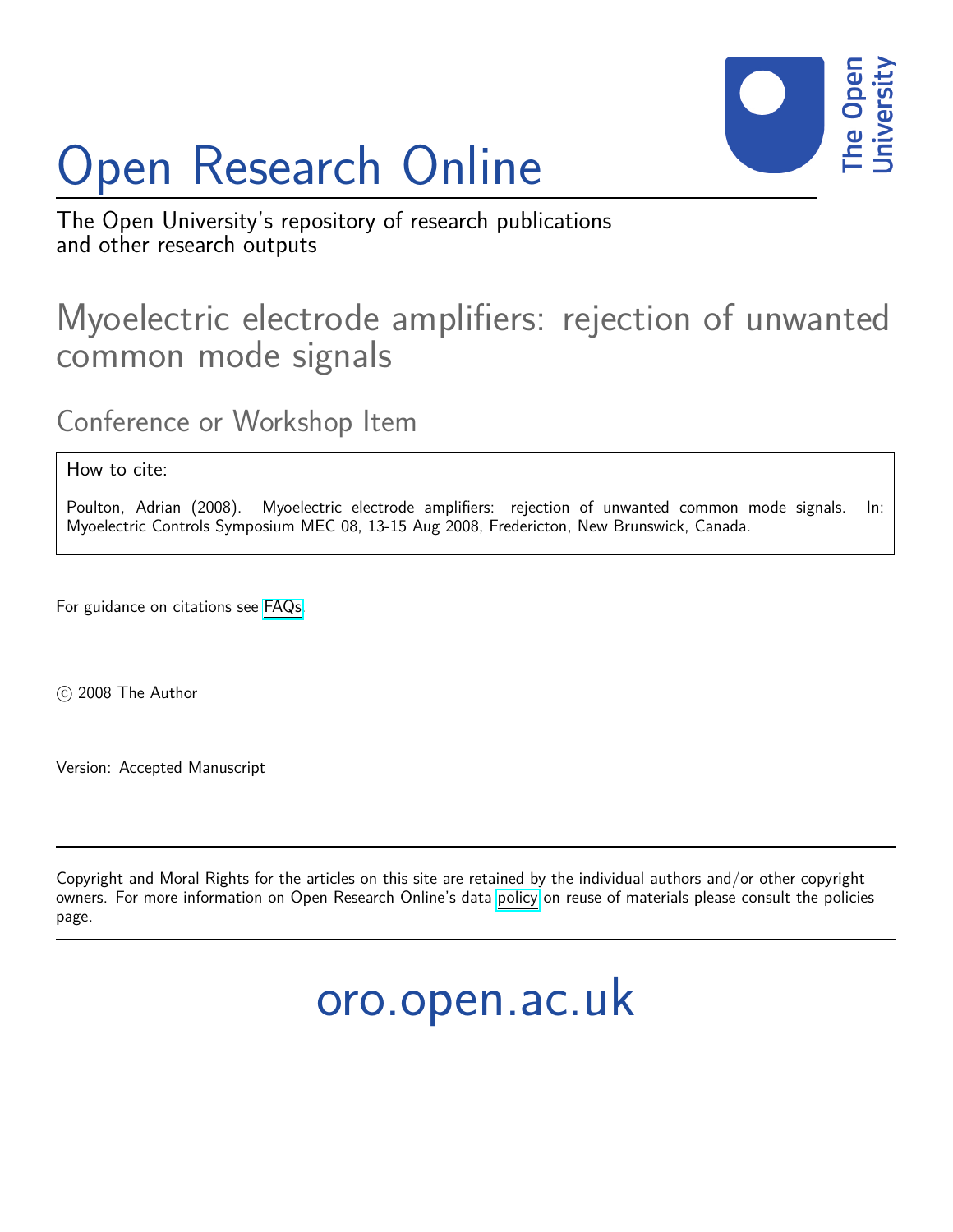# Open Research Online



The Open University's repository of research publications and other research outputs

# Myoelectric electrode amplifiers: rejection of unwanted common mode signals

Conference or Workshop Item

How to cite:

Poulton, Adrian (2008). Myoelectric electrode amplifiers: rejection of unwanted common mode signals. In: Myoelectric Controls Symposium MEC 08, 13-15 Aug 2008, Fredericton, New Brunswick, Canada.

For guidance on citations see [FAQs.](http://oro.open.ac.uk/help/helpfaq.html)

c 2008 The Author

Version: Accepted Manuscript

Copyright and Moral Rights for the articles on this site are retained by the individual authors and/or other copyright owners. For more information on Open Research Online's data [policy](http://oro.open.ac.uk/policies.html) on reuse of materials please consult the policies page.

oro.open.ac.uk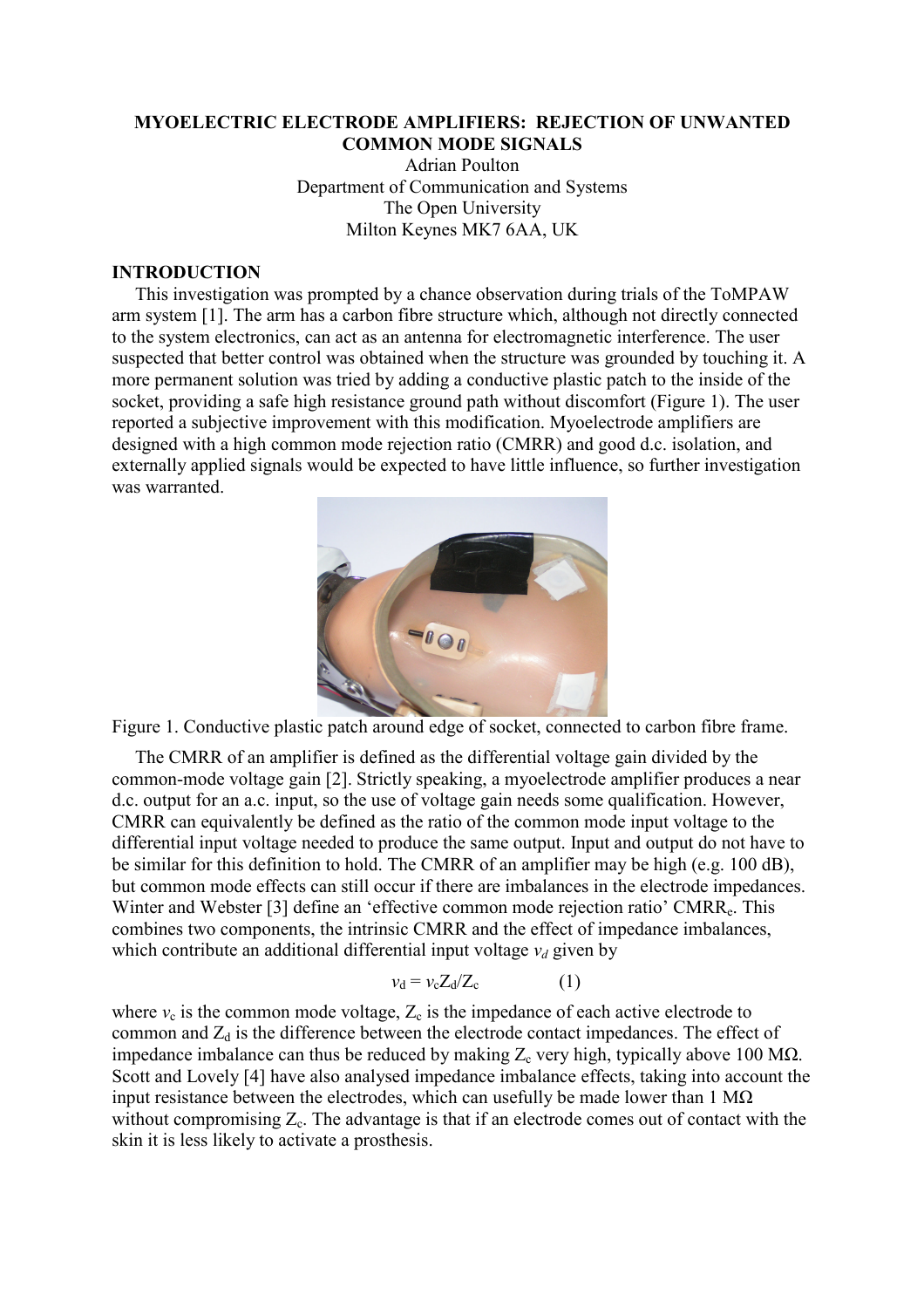#### MYOELECTRIC ELECTRODE AMPLIFIERS: REJECTION OF UNWANTED COMMON MODE SIGNALS

Adrian Poulton Department of Communication and Systems The Open University Milton Keynes MK7 6AA, UK

#### INTRODUCTION

 This investigation was prompted by a chance observation during trials of the ToMPAW arm system [1]. The arm has a carbon fibre structure which, although not directly connected to the system electronics, can act as an antenna for electromagnetic interference. The user suspected that better control was obtained when the structure was grounded by touching it. A more permanent solution was tried by adding a conductive plastic patch to the inside of the socket, providing a safe high resistance ground path without discomfort (Figure 1). The user reported a subjective improvement with this modification. Myoelectrode amplifiers are designed with a high common mode rejection ratio (CMRR) and good d.c. isolation, and externally applied signals would be expected to have little influence, so further investigation was warranted.



Figure 1. Conductive plastic patch around edge of socket, connected to carbon fibre frame.

 The CMRR of an amplifier is defined as the differential voltage gain divided by the common-mode voltage gain [2]. Strictly speaking, a myoelectrode amplifier produces a near d.c. output for an a.c. input, so the use of voltage gain needs some qualification. However, CMRR can equivalently be defined as the ratio of the common mode input voltage to the differential input voltage needed to produce the same output. Input and output do not have to be similar for this definition to hold. The CMRR of an amplifier may be high (e.g. 100 dB), but common mode effects can still occur if there are imbalances in the electrode impedances. Winter and Webster [3] define an 'effective common mode rejection ratio' CMRR<sub>e</sub>. This combines two components, the intrinsic CMRR and the effect of impedance imbalances, which contribute an additional differential input voltage  $v_d$  given by

$$
v_{\rm d} = v_{\rm c} Z_{\rm d} / Z_{\rm c} \tag{1}
$$

where  $v_c$  is the common mode voltage,  $Z_c$  is the impedance of each active electrode to common and  $Z_d$  is the difference between the electrode contact impedances. The effect of impedance imbalance can thus be reduced by making  $Z_c$  very high, typically above 100 M $\Omega$ . Scott and Lovely [4] have also analysed impedance imbalance effects, taking into account the input resistance between the electrodes, which can usefully be made lower than  $1 \text{ M}\Omega$ without compromising  $Z_c$ . The advantage is that if an electrode comes out of contact with the skin it is less likely to activate a prosthesis.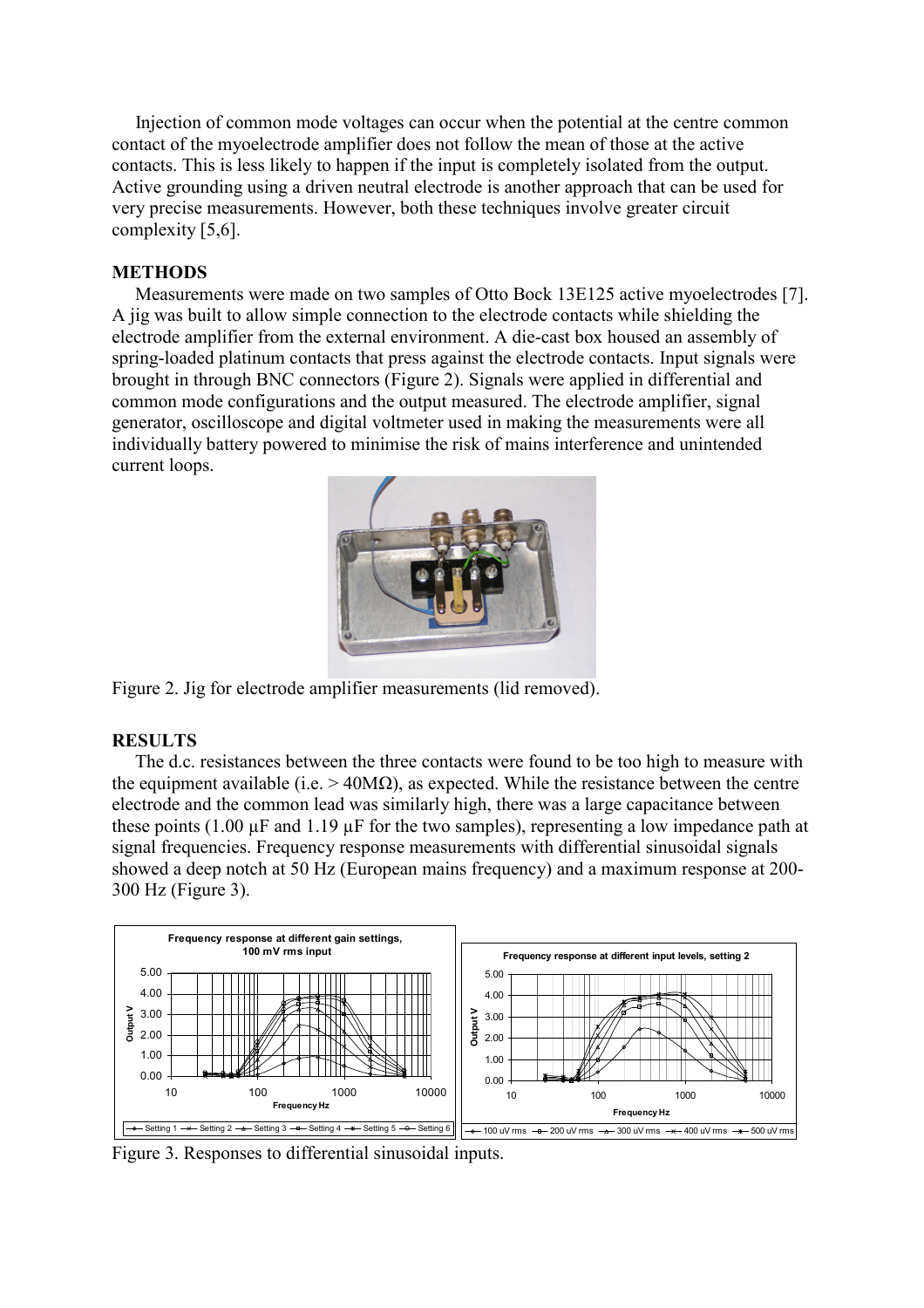Injection of common mode voltages can occur when the potential at the centre common contact of the myoelectrode amplifier does not follow the mean of those at the active contacts. This is less likely to happen if the input is completely isolated from the output. Active grounding using a driven neutral electrode is another approach that can be used for very precise measurements. However, both these techniques involve greater circuit complexity [5,6].

## METHODS

 Measurements were made on two samples of Otto Bock 13E125 active myoelectrodes [7]. A jig was built to allow simple connection to the electrode contacts while shielding the electrode amplifier from the external environment. A die-cast box housed an assembly of spring-loaded platinum contacts that press against the electrode contacts. Input signals were brought in through BNC connectors (Figure 2). Signals were applied in differential and common mode configurations and the output measured. The electrode amplifier, signal generator, oscilloscope and digital voltmeter used in making the measurements were all individually battery powered to minimise the risk of mains interference and unintended current loops.



Figure 2. Jig for electrode amplifier measurements (lid removed).

# **RESULTS**

 The d.c. resistances between the three contacts were found to be too high to measure with the equipment available (i.e.  $> 40$ M $\Omega$ ), as expected. While the resistance between the centre electrode and the common lead was similarly high, there was a large capacitance between these points (1.00 µF and 1.19 µF for the two samples), representing a low impedance path at signal frequencies. Frequency response measurements with differential sinusoidal signals showed a deep notch at 50 Hz (European mains frequency) and a maximum response at 200- 300 Hz (Figure 3).



Figure 3. Responses to differential sinusoidal inputs.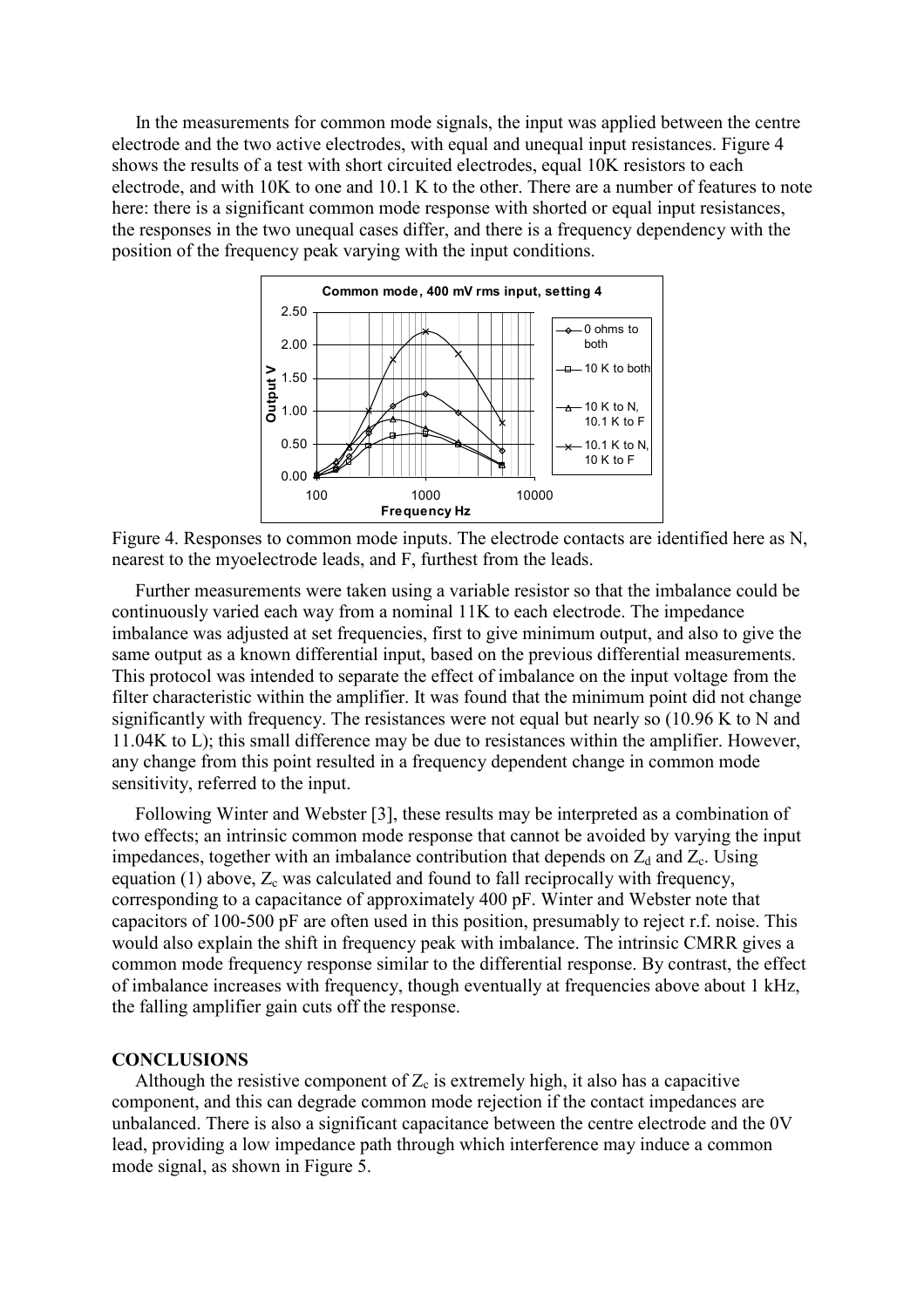In the measurements for common mode signals, the input was applied between the centre electrode and the two active electrodes, with equal and unequal input resistances. Figure 4 shows the results of a test with short circuited electrodes, equal 10K resistors to each electrode, and with 10K to one and 10.1 K to the other. There are a number of features to note here: there is a significant common mode response with shorted or equal input resistances, the responses in the two unequal cases differ, and there is a frequency dependency with the position of the frequency peak varying with the input conditions.



Figure 4. Responses to common mode inputs. The electrode contacts are identified here as N, nearest to the myoelectrode leads, and F, furthest from the leads.

 Further measurements were taken using a variable resistor so that the imbalance could be continuously varied each way from a nominal 11K to each electrode. The impedance imbalance was adjusted at set frequencies, first to give minimum output, and also to give the same output as a known differential input, based on the previous differential measurements. This protocol was intended to separate the effect of imbalance on the input voltage from the filter characteristic within the amplifier. It was found that the minimum point did not change significantly with frequency. The resistances were not equal but nearly so (10.96 K to N and 11.04K to L); this small difference may be due to resistances within the amplifier. However, any change from this point resulted in a frequency dependent change in common mode sensitivity, referred to the input.

 Following Winter and Webster [3], these results may be interpreted as a combination of two effects; an intrinsic common mode response that cannot be avoided by varying the input impedances, together with an imbalance contribution that depends on  $Z_d$  and  $Z_c$ . Using equation (1) above,  $Z_c$  was calculated and found to fall reciprocally with frequency, corresponding to a capacitance of approximately 400 pF. Winter and Webster note that capacitors of 100-500 pF are often used in this position, presumably to reject r.f. noise. This would also explain the shift in frequency peak with imbalance. The intrinsic CMRR gives a common mode frequency response similar to the differential response. By contrast, the effect of imbalance increases with frequency, though eventually at frequencies above about 1 kHz, the falling amplifier gain cuts off the response.

#### **CONCLUSIONS**

Although the resistive component of  $Z_c$  is extremely high, it also has a capacitive component, and this can degrade common mode rejection if the contact impedances are unbalanced. There is also a significant capacitance between the centre electrode and the 0V lead, providing a low impedance path through which interference may induce a common mode signal, as shown in Figure 5.